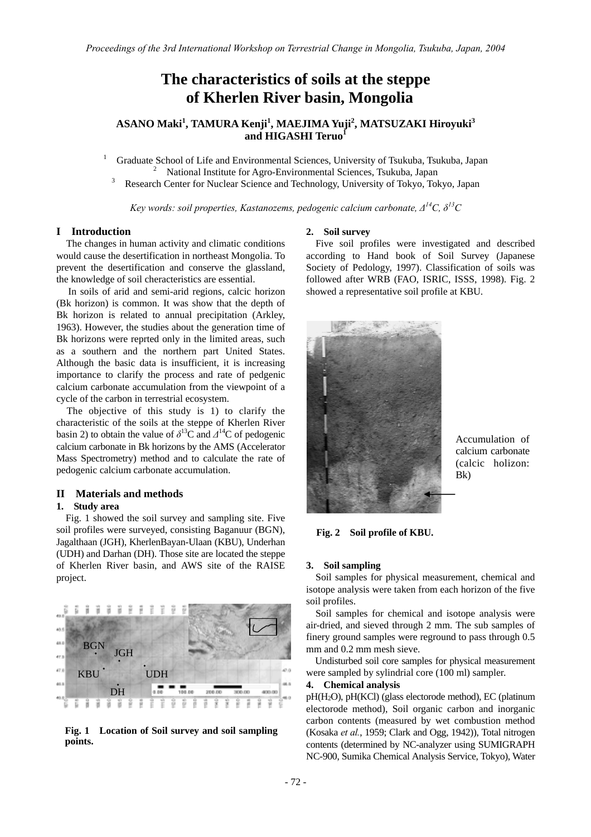# **The characteristics of soils at the steppe of Kherlen River basin, Mongolia**

## **ASANO Maki<sup>1</sup> , TAMURA Kenji1 , MAEJIMA Yuji<sup>2</sup> , MATSUZAKI Hiroyuki<sup>3</sup> and HIGASHI Teruo<sup>1</sup>**

1 Graduate School of Life and Environmental Sciences, University of Tsukuba, Tsukuba, Japan 2 <sup>2</sup> National Institute for Agro-Environmental Sciences, Tsukuba, Japan

Research Center for Nuclear Science and Technology, University of Tokyo, Tokyo, Japan

*Key words: soil properties, Kastanozems, pedogenic calcium carbonate, ∆14C, δ13C* 

#### **I Introduction**

The changes in human activity and climatic conditions would cause the desertification in northeast Mongolia. To prevent the desertification and conserve the glassland, the knowledge of soil cheracteristics are essential.

In soils of arid and semi-arid regions, calcic horizon (Bk horizon) is common. It was show that the depth of Bk horizon is related to annual precipitation (Arkley, 1963). However, the studies about the generation time of Bk horizons were reprted only in the limited areas, such as a southern and the northern part United States. Although the basic data is insufficient, it is increasing importance to clarify the process and rate of pedgenic calcium carbonate accumulation from the viewpoint of a cycle of the carbon in terrestrial ecosystem.

The objective of this study is 1) to clarify the characteristic of the soils at the steppe of Kherlen River basin 2) to obtain the value of  $\delta^{13}$ C and  $\Delta^{14}$ C of pedogenic calcium carbonate in Bk horizons by the AMS (Accelerator Mass Spectrometry) method and to calculate the rate of pedogenic calcium carbonate accumulation.

## **II Materials and methods**

## **1. Study area**

Fig. 1 showed the soil survey and sampling site. Five soil profiles were surveyed, consisting Baganuur (BGN), Jagalthaan (JGH), KherlenBayan-Ulaan (KBU), Underhan (UDH) and Darhan (DH). Those site are located the steppe of Kherlen River basin, and AWS site of the RAISE project.



**Fig. 1 Location of Soil survey and soil sampling points.**

#### **2. Soil survey**

Five soil profiles were investigated and described according to Hand book of Soil Survey (Japanese Society of Pedology, 1997). Classification of soils was followed after WRB (FAO, ISRIC, ISSS, 1998). Fig. 2 showed a representative soil profile at KBU.



Accumulation of calcium carbonate (calcic holizon: Bk)

**Fig. 2 Soil profile of KBU.** 

#### **3. Soil sampling**

Soil samples for physical measurement, chemical and isotope analysis were taken from each horizon of the five soil profiles.

Soil samples for chemical and isotope analysis were air-dried, and sieved through 2 mm. The sub samples of finery ground samples were reground to pass through 0.5 mm and 0.2 mm mesh sieve.

Undisturbed soil core samples for physical measurement were sampled by sylindrial core (100 ml) sampler.

#### **4. Chemical analysis**

pH(H2O), pH(KCl) (glass electorode method), EC (platinum electorode method), Soil organic carbon and inorganic carbon contents (measured by wet combustion method (Kosaka *et al.*, 1959; Clark and Ogg, 1942)), Total nitrogen contents (determined by NC-analyzer using SUMIGRAPH NC-900, Sumika Chemical Analysis Service, Tokyo), Water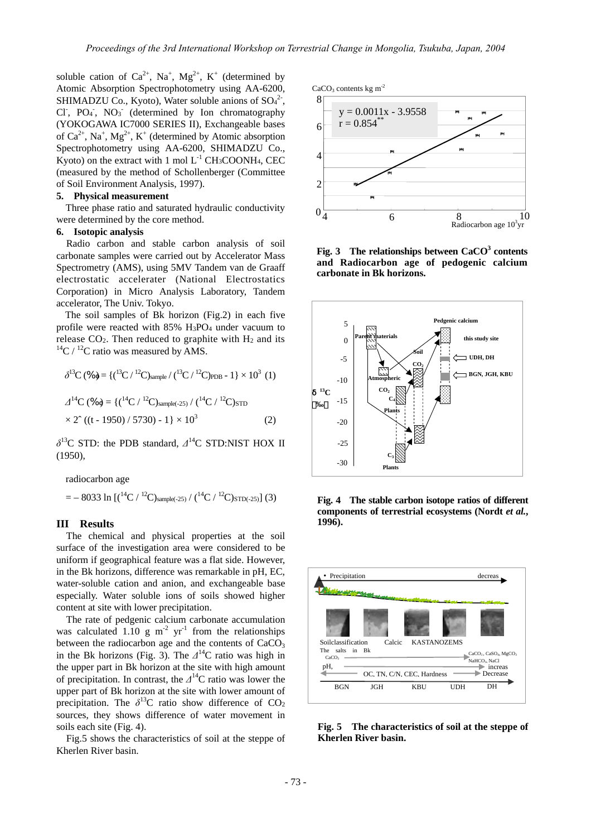soluble cation of  $Ca^{2+}$ , Na<sup>+</sup>, Mg<sup>2+</sup>, K<sup>+</sup> (determined by Atomic Absorption Spectrophotometry using AA-6200, SHIMADZU Co., Kyoto), Water soluble anions of  $SO<sub>4</sub><sup>2</sup>$ , Cl<sup>-</sup>, PO<sub>4</sub><sup>-</sup>, NO<sub>3</sub><sup>-</sup> (determined by Ion chromatography (YOKOGAWA IC7000 SERIES II), Exchangeable bases of  $Ca^{2+}$ , Na<sup>+</sup>, Mg<sup>2+</sup>, K<sup>+</sup> (determined by Atomic absorption Spectrophotometry using AA-6200, SHIMADZU Co., Kyoto) on the extract with 1 mol  $L^{-1}$  CH<sub>3</sub>COONH<sub>4</sub>, CEC (measured by the method of Schollenberger (Committee of Soil Environment Analysis, 1997).

#### **5. Physical measurement**

Three phase ratio and saturated hydraulic conductivity were determined by the core method.

#### **6. Isotopic analysis**

Radio carbon and stable carbon analysis of soil carbonate samples were carried out by Accelerator Mass Spectrometry (AMS), using 5MV Tandem van de Graaff electrostatic accelerater (National Electrostatics Corporation) in Micro Analysis Laboratory, Tandem accelerator, The Univ. Tokyo.

The soil samples of Bk horizon (Fig.2) in each five profile were reacted with 85% H3PO4 under vacuum to release CO<sub>2</sub>. Then reduced to graphite with H<sub>2</sub> and its <sup>14</sup>C / <sup>12</sup>C ratio was measured by AMS.

$$
\delta^{13}C \, (\% \phi) = \{ (^{13}C / ^{12}C)_{\text{sample}} / (^{13}C / ^{12}C)_{\text{PDB}} - 1 \} \times 10^3 \, (1)
$$
  

$$
\Delta^{14}C \, (\% \phi) = \{ (^{14}C / ^{12}C)_{\text{sample}(-25)} / (^{14}C / ^{12}C)_{\text{STD}} \times 2^{\circ} \, ((t - 1950) / 5730) - 1 \} \times 10^3 \tag{2}
$$

*δ*13C STD: the PDB standard, *∆*14C STD:NIST HOX II (1950),

radiocarbon age

$$
= -8033 \ln \left[ \left( \frac{14}{C} / \frac{12}{C} \right)_{sample(-25)} / \left( \frac{14}{C} / \frac{12}{C} \right)_{STD(-25)} \right] (3)
$$

#### **III Results**

 The chemical and physical properties at the soil surface of the investigation area were considered to be uniform if geographical feature was a flat side. However, in the Bk horizons, difference was remarkable in pH, EC, water-soluble cation and anion, and exchangeable base especially. Water soluble ions of soils showed higher content at site with lower precipitation.

The rate of pedgenic calcium carbonate accumulation was calculated 1.10 g  $m<sup>-2</sup>$  yr<sup>-1</sup> from the relationships between the radiocarbon age and the contents of  $CaCO<sub>3</sub>$ in the Bk horizons (Fig. 3). The *∆*14C ratio was high in the upper part in Bk horizon at the site with high amount of precipitation. In contrast, the *∆*14C ratio was lower the upper part of Bk horizon at the site with lower amount of precipitation. The  $\delta^{13}$ C ratio show difference of CO<sub>2</sub> sources, they shows difference of water movement in soils each site (Fig. 4).

Fig.5 shows the characteristics of soil at the steppe of Kherlen River basin.



Fig. 3 The relationships between CaCO<sup>3</sup> contents **and Radiocarbon age of pedogenic calcium carbonate in Bk horizons.** 



**Fig. 4 The stable carbon isotope ratios of different components of terrestrial ecosystems (Nordt** *et al.***, 1996).** 



**Fig. 5 The characteristics of soil at the steppe of Kherlen River basin.**